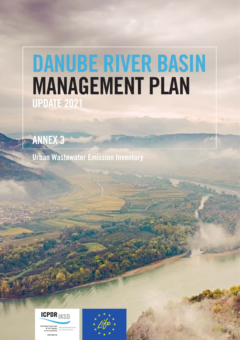# DANUBE RIVER BASIN MANAGEMENT PLAN UPDATE 2021

ANNEX 3

Urban Wastewater Emission Inventory



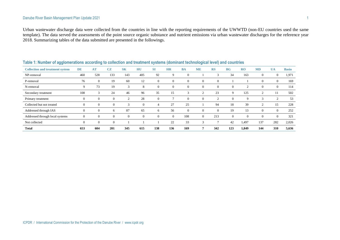Urban wastewater discharge data were collected from the countries in line with the reporting requirements of the UWWTD (non-EU countries used the same template). The data served the assessments of the point source organic substance and nutrient emissions via urban wastewater discharges for the reference year 2018. Summarizing tables of the data submitted are presented in the followings.

| $\tilde{\phantom{a}}$                  |                  |           |                |                |                |           |           |                | -              |           |                |                |                |                |              |
|----------------------------------------|------------------|-----------|----------------|----------------|----------------|-----------|-----------|----------------|----------------|-----------|----------------|----------------|----------------|----------------|--------------|
| <b>Collection and treatment system</b> | <b>DE</b>        | <b>AT</b> | <b>CZ</b>      | <b>SK</b>      | HU             | <b>SI</b> | <b>HR</b> | <b>BA</b>      | <b>ME</b>      | <b>RS</b> | BG             | RO             | <b>MD</b>      | <b>UA</b>      | <b>Basin</b> |
| NP-removal                             | 460              | 528       | 133            | 143            | 405            | 92        | 9         | $\overline{0}$ |                | 3         | 34             | 163            | $\mathbf{0}$   | $\overline{0}$ | 1,971        |
| P-removal                              | 76               | $\theta$  | 19             | 60             | 12             | 0         | $\theta$  | $\mathbf{0}$   | $\overline{0}$ | $\theta$  |                |                | $\theta$       | $\overline{0}$ | 169          |
| N-removal                              | 9                | 73        | 19             | 3              | 8              |           | $\Omega$  | $\mathbf{0}$   | $\overline{0}$ | $\theta$  | $\overline{0}$ | $\overline{2}$ | $\theta$       | $\overline{0}$ | 114          |
| Secondary treatment                    | 108              | 3         | 24             | 46             | 96             | 35        | 15        | 3              | ◠              | 23        | 9              | 125            | $\overline{2}$ | 11             | 502          |
| Primary treatment                      | 0                | $\theta$  | $\overline{0}$ | ി              | 28             | 0         |           | $\overline{0}$ | $\overline{0}$ | 2         | $\overline{0}$ | 9              | 3              | 2              | 53           |
| Collected but not treated              | 0                | $\theta$  | $\overline{0}$ | 3              | $\Omega$       | 4         | 27        | 25             |                | 94        | 18             | 39             | $\overline{2}$ | 15             | 228          |
| Addressed through IAS                  | 0                | $\theta$  | 6              | 87             | 65             | 6         | 56        | $\overline{0}$ | $\overline{0}$ | $\theta$  | 19             | 13             | $\theta$       | $\overline{0}$ | 252          |
| Addressed through local systems        | $\boldsymbol{0}$ | $\theta$  | $\overline{0}$ | $\overline{0}$ | $\overline{0}$ | 0         | $\Omega$  | 108            | $\overline{0}$ | 213       | $\overline{0}$ | $\mathbf{0}$   | $\theta$       | $\overline{0}$ | 321          |
| Not collected                          | 0                | $\theta$  | $\theta$       |                |                |           | 22        | 33             | 3              |           | 42             | 1,497          | 137            | 282            | 2,026        |
| <b>Total</b>                           | 653              | 604       | 201            | 345            | 615            | 138       | 136       | 169            |                | 342       | 123            | 1,849          | 144            | 310            | 5,636        |

#### **Table 1: Number of agglomerations according to collection and treatment systems (dominant technological level) and countries**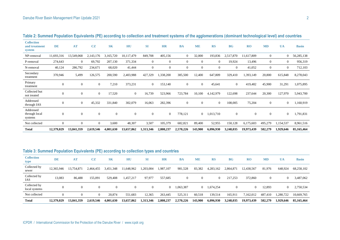| <b>Collection</b><br>and treatment<br>system | <b>DE</b>      | <b>AT</b>    | <b>CZ</b>        | <b>SK</b>    | HU         | <b>SI</b>      | <b>HR</b>    | <b>BA</b>      | <b>ME</b>      | <b>RS</b>      | <b>BG</b>      | RO           | <b>MD</b>      | <b>UA</b>      | <b>Basin</b> |
|----------------------------------------------|----------------|--------------|------------------|--------------|------------|----------------|--------------|----------------|----------------|----------------|----------------|--------------|----------------|----------------|--------------|
| NP-removal                                   | 11,693,316     | 13,549,068   | 2,143,176        | 3,165,720    | 10,117,479 | 849,708        | 405,156      | $\overline{0}$ | 32,000         | 193,836        | 2,517,870      | 11,617,809   | $\mathbf{0}$   | $\overline{0}$ | 56,285,138   |
| P-removal                                    | 274,643        | $\theta$     | 69,792           | 207,130      | 371,334    | $\overline{0}$ | $\theta$     | $\Omega$       | $\Omega$       | $\Omega$       | 19,924         | 13,496       | $\overline{0}$ | $\theta$       | 956,319      |
| N-removal                                    | 40,124         | 286,792      | 234,671          | 68,020       | 41,444     | $\overline{0}$ | $\mathbf{0}$ | $\Omega$       | $\Omega$       | $\Omega$       | $\overline{0}$ | 41,052       | $\theta$       | $\overline{0}$ | 712,103      |
| Secondary<br>treatment                       | 370,946        | 5,499        | 126,575          | 200,590      | 2,403,988  | 427,329        | 1,338,200    | 385,500        | 12,400         | 647,809        | 329,410        | 1,393,149    | 20,800         | 615,848        | 8,278,043    |
| Primary<br>treatment                         | $\mathbf{0}$   | $\mathbf{0}$ | $\mathbf{0}$     | 7,210        | 373,231    | $\overline{0}$ | 153,140      | $\mathbf{0}$   | $\overline{0}$ | 45,641         | $\theta$       | 419,482      | 45,900         | 31,291         | 1,075,895    |
| Collected but<br>not treated                 | $\overline{0}$ | $\theta$     | $\overline{0}$   | 17,520       | $\theta$   | 16,739         | 523,966      | 723,784        | 10,100         | 4,142,979      | 122,698        | 237,644      | 20,300         | 127,970        | 5,943,700    |
| Addressed<br>through IAS                     | $\mathbf{0}$   | $\theta$     | 45,332           | 331,840      | 302,079    | 16,063         | 282,396      | $\mathbf{0}$   | $\theta$       | $\overline{0}$ | 108,005        | 75,204       | $\mathbf{0}$   | $\overline{0}$ | 1,160,919    |
| Addressed<br>through local<br>systems        | $\mathbf{0}$   | $\mathbf{0}$ | $\boldsymbol{0}$ | $\mathbf{0}$ | $\theta$   | $\mathbf{0}$   | $\mathbf{0}$ | 778,121        | $\overline{0}$ | 1,013,710      | $\theta$       | $\mathbf{0}$ | $\mathbf{0}$   | $\theta$       | 1,791,831    |
| Not collected                                | $\mathbf{0}$   | $\theta$     | $\overline{0}$   | 3,600        | 48,307     | 3,507          | 105,379      | 682,821        | 89,400         | 52,955         | 150,128        | 6,175,603    | 495,279        | 1,154,537      | 8,961,516    |
| <b>Total</b>                                 | 12,379,029     | 13,841,359   | 2,619,546        | 4,001,630    | 13,657,862 | 1,313,346      | 2,808,237    | 2,570,226      | 143,900        | 6,096,930      | 3,248,035      | 19,973,439   | 582,279        | 1,929,646      | 85,165,464   |

**Table 2: Summed Population Equivalents (PE) according to collection and treatment systems of the agglomerations (dominant technological level) and countries**

### **Table 3: Summed Population Equivalents (PE) according to collection types and countries**

| <b>Collection</b><br>type     | <b>DE</b>  | AT         | CZ        | <b>SK</b> | HU         | SI        | <b>HR</b>      | <b>BA</b> | <b>ME</b>      | <b>RS</b> | $\bf{B}$ <b>G</b> | <b>RO</b>  | <b>MD</b>      | <b>UA</b> | <b>Basin</b> |
|-------------------------------|------------|------------|-----------|-----------|------------|-----------|----------------|-----------|----------------|-----------|-------------------|------------|----------------|-----------|--------------|
| Collected by<br>sewer         | 12.365.946 | 13,754,871 | 2,464,455 | 3,451,348 | 1,648,962  | 1,203,004 | 1,987,107      | 981,528   | 83,382         | 4,283,162 | 2,864,871         | 12,438,567 | 81,976         | 648,924   | 68,258,102   |
| Collected by<br>IAS           | 13,083     | 86,488     | 155,091   | 529,408   | 1,457,217  | 97,977    | 557,685        | $\theta$  | $\theta$       | $\Omega$  | 217,253           | 372,860    | $\overline{0}$ | $\theta$  | 3,487,062    |
| Collected by<br>local systems | $\theta$   | $\Omega$   | $\Omega$  | $\Omega$  | $\theta$   | $\Omega$  | $\overline{0}$ | 1,063,387 | $\overline{0}$ | 1,674,254 | $\theta$          | $\Omega$   | 12.893         | $\theta$  | 2,750,534    |
| Not collected                 |            | $\Omega$   | $\Omega$  | 20.874    | 551.683    | 12,365    | 263,445        | 525,311   | 60,518         | 139,514   | 165,911           | 7,162,012  | 487.410        | 1,280,722 | 10,669,765   |
| <b>Total</b>                  | 12,379,029 | 13,841,359 | 2,619,546 | 4,001,630 | 13,657,862 | 1,313,346 | 2,808,237      | 2,570,226 | 143,900        | 6,096,930 | 3,248,035         | 19,973,439 | 582,279        | 1,929,646 | 85,165,464   |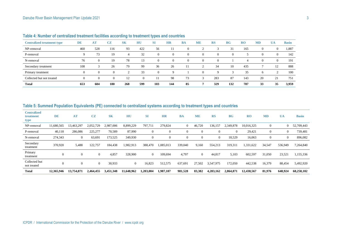| <b>Centralized treatment type</b> | <b>DE</b> | <b>AT</b> | CZ  | <b>SK</b> | HU       | <b>SI</b>      | <b>HR</b>   | <b>BA</b> | <b>ME</b> | <b>RS</b>   | <b>BG</b> | $_{\rm R0}$ | <b>MD</b> | <b>UA</b>      | <b>Basin</b> |
|-----------------------------------|-----------|-----------|-----|-----------|----------|----------------|-------------|-----------|-----------|-------------|-----------|-------------|-----------|----------------|--------------|
| NP-removal                        | 460       | 528       | 116 | 93        | 422      | 56             |             | $\Omega$  |           |             | 31        | 165         | $\Omega$  | $\overline{0}$ | 1,887        |
| P-removal                         | 9         | 73        | 19  | 4         | 32       | $\overline{0}$ | $\Omega$    | $^{(1)}$  | $\Omega$  | $\left($    |           |             | $\Omega$  | $\Omega$       | 142          |
| N-removal                         | 76        | $\theta$  | 19  | 78        | 13       | $\Omega$       | $\Omega$    | $\Omega$  | $\Omega$  | $\Omega$    |           |             | $\Omega$  | $\Omega$       | 191          |
| Secondary treatment               | 108       |           | 26  | 79        | 99       | 36             | 26          |           |           | 34          | 10        | 435         |           | 12             | 888          |
| Primary treatment                 | $\Omega$  | $\Omega$  |     |           | 33       | $\Omega$       | $\mathbf Q$ |           | $\Omega$  | $\mathbf Q$ |           | 35          | h         |                | 100          |
| Collected but not treated         | $\Omega$  |           |     | 12        | $\Omega$ |                | -98         | 73        |           | 283         | 87        | 143         | 20        | 21             | 751          |
| <b>Total</b>                      | 653       | 604       | 180 | 268       | 599      | 103            | 144         | 85        |           | 329         | 132       | 787         | 33        | 35             | 3,959        |

## **Table 4: Number of centralized treatment facilities according to treatment types and countries**

#### **Table 5: Summed Population Equivalents (PE) connected to centralized systems according to treatment types and countries**

| <b>Centralized</b><br>treatment<br>type | DE             | AT             | CZ             | <b>SK</b> | HU             | <b>SI</b>      | <b>HR</b>    | <b>BA</b>      | <b>ME</b>      | <b>RS</b>      | <b>BG</b> | <b>RO</b>  | <b>MD</b>    | <b>UA</b>      | <b>Basin</b> |
|-----------------------------------------|----------------|----------------|----------------|-----------|----------------|----------------|--------------|----------------|----------------|----------------|-----------|------------|--------------|----------------|--------------|
| NP-removal                              | 11,680,565     | 13,463,297     | 2,052,729      | 2,987,006 | 8,899,229      | 797,711        | 279,824      | $\overline{0}$ | 46,720         | 136,157        | 2,349,878 | 10,016,325 | $\mathbf{0}$ | $\overline{0}$ | 52,709,443   |
| P-removal                               | 40,118         | 286,086        | 225,277        | 70,589    | 87,990         | $\mathbf{0}$   | $\mathbf{0}$ | $\overline{0}$ | $\Omega$       |                | $\theta$  | 29,421     | $\mathbf{0}$ | $\overline{0}$ | 739,481      |
| N-removal                               | 274,343        | $\overline{0}$ | 63,691         | 173,525   | 349,930        | $\theta$       | $\theta$     | $\overline{0}$ | $\Omega$       | $\overline{0}$ | 18,529    | 16,063     | $\mathbf{0}$ | $\overline{0}$ | 896,082      |
| Secondary<br>treatment                  | 370,920        | 5,488          | 122,757        | 184,438   | 1,982,913      | 388,470        | 1,085,013    | 339,040        | 9,160          | 554,213        | 319,311   | 1,331,622  | 34,547       | 536,949        | 7,264,840    |
| Primary<br>treatment                    | $\overline{0}$ | $\theta$       |                | 4,857     | 328,900        | $\overline{0}$ | 109,694      | 4,797          | $\overline{0}$ | 44,817         | 5,103     | 602,597    | 31,050       | 23,521         | 1,155,336    |
| Collected but<br>not treated            | $\theta$       | $\theta$       | $\overline{0}$ | 30,933    | $\overline{0}$ | 16,823         | 512,575      | 637,691        | 27,502         | 3,547,975      | 172,050   | 442,538    | 16,379       | 88,454         | 5,492,920    |
| <b>Total</b>                            | 12,365,946     | 13,754,871     | 2,464,455      | 3,451,348 | 11,648,962     | 1,203,004      | 1,987,107    | 981,528        | 83,382         | 4,283,162      | 2,864,871 | 12,438,567 | 81,976       | 648,924        | 68,258,102   |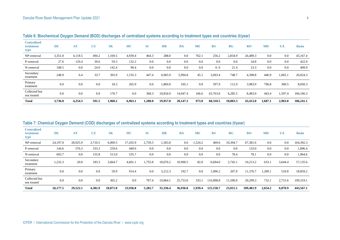| <b>Centralized</b><br>treatment<br>type | DE      | <b>AT</b> | CZ    | <b>SK</b> | HU      | <b>SI</b> | <b>HR</b> | <b>BA</b> | <b>ME</b> | <b>RS</b> | <b>BG</b> | RO       | <b>MD</b> | <b>UA</b> | <b>Basin</b> |
|-----------------------------------------|---------|-----------|-------|-----------|---------|-----------|-----------|-----------|-----------|-----------|-----------|----------|-----------|-----------|--------------|
| NP-removal                              | 3,351.0 | 4,118.5   | 494.2 | 1,169.5   | 4,939.4 | 464.3     | 288.0     | 0.0       | 762.1     | 256.2     | 2,834.9   | 26,489.3 | 0.0       | 0.0       | 45,167.4     |
| P-removal                               | 27.6    | 129.4     | 39.6  | 59.3      | 132.2   | 0.0       | 0.0       | 0.0       | 0.0       | 0.0       | 0.0       | 34.8     | 0.0       | 0.0       | 422.9        |
| N-removal                               | 108.5   | 0.0       | 24.0  | 142.4     | 90.4    | 0.0       | 0.0       | 0.0       | 0.0       | 0.0       | 21.4      | 23.3     | 0.0       | 0.0       | 409.9        |
| Secondary<br>treatment                  | 248.9   | 6.4       | 33.7  | 393.9     | 1,535.3 | 447.4     | 6,965.9   | 5,994.8   | 45.1      | 3,693.4   | 748.7     | 4,398.8  | 446.9     | 1,065.1   | 26,024.3     |
| Primary<br>treatment                    | 0.0     | 0.0       | 0.0   | 18.3      | 265.9   | $0.0\,$   | 1,869.0   | 105.1     | 0.0       | 597.9     | 112.9     | 3,983.9  | 796.8     | 300.5     | 8,050.3      |
| Collected but<br>not treated            | 0.0     | 0.0       | 0.0   | 176.7     | 0.0     | 368.3     | 10,834.9  | 14,047.4  | 166.6     | 63,763.0  | 6,285.5   | 8,483.0  | 443.4     | 1,597.4   | 106,166.3    |
| <b>Total</b>                            | 3,736.0 | 4,254.3   | 591.5 | 1,960.2   | 6,963.1 | 1,280.0   | 19,957.8  | 20,147.3  | 973.8     | 68,310.5  | 10,003.3  | 43,413.0 | 1,687.1   | 2,963.0   | 186,241.1    |

**Table 6: Biochemical Oxygen Demand (BOD) discharges of centralized systems according to treatment types and countries (t/year)**

#### **Table 7: Chemical Oxygen Demand (COD) discharges of centralized systems according to treatment types and countries (t/year)**

| <b>Centralized</b><br>treatment<br>type | <b>DE</b> | AT       | CZ      | <b>SK</b> | HU       | <b>SI</b> | <b>HR</b> | <b>BA</b> | <b>ME</b> | <b>RS</b> | <b>BG</b> | R <sub>0</sub> | <b>MD</b> | <b>UA</b> | <b>Basin</b> |
|-----------------------------------------|-----------|----------|---------|-----------|----------|-----------|-----------|-----------|-----------|-----------|-----------|----------------|-----------|-----------|--------------|
| NP-removal                              | 24,197.0  | 28,925.9 | 3,710.5 | 6,009.5   | 17,435.9 | 2,759.5   | 1,583.8   | 0.0       | 1,524.2   | 469.6     | 10,394.7  | 67,381.6       | 0.0       | 0.0       | 164,392.3    |
| P-removal                               | 144.6     | 576.3    | 333.3   | 259.6     | 449.6    | 0.0       | 0.0       | 0.0       | 0.0       | 0.0       | 0.0       | 133.0          | 0.0       | 0.0       | 1,896.4      |
| N-removal                               | 603.7     | 0.0      | 155.8   | 513.0     | 535.7    | 0.0       | 0.0       | 0.0       | 0.0       | 0.0       | 78.4      | 78.1           | 0.0       | 0.0       | 1,964.6      |
| Secondary<br>treatment                  | 1,232.3   | 20.0     | 183.3   | 3,664.7   | 4,601.1  | 1,755.8   | 10,676.2  | 10,990.5  | 82.0      | 6,694.0   | 2,745.1   | 10,213.2       | 633.1     | 3,644.4   | 57,135.6     |
| Primary<br>treatment                    | 0.0       | 0.0      | 0.0     | 59.9      | 914.4    | 0.0       | 3,212.3   | 192.7     | 0.0       | 1,096.2   | 207.0     | 11,376.7       | 1,289.1   | 510.8     | 18,859.2     |
| Collected but<br>not treated            | 0.0       | 0.0      | 0.0     | 365.2     | 0.0      | 767.4     | 19,864.1  | 25,753.6  | 333.1     | 116,898.8 | 11,590.0  | 20,299.3       | 732.1     | 2,715.6   | 199.319.1    |
| <b>Total</b>                            | 26,177.5  | 29,522.1 | 4,382.9 | 10,871.8  | 23,936.8 | 5,282.7   | 35,336.4  | 36,936.8  | 1,939.4   | 125,158.7 | 25,015.1  | 109,481.9      | 2,654.2   | 6,870.9   | 443,567.1    |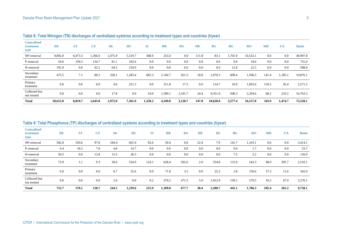| <b>Centralized</b><br>treatment<br>type | <b>DE</b> | AT      | CZ      | <b>SK</b> | HU      | <b>SI</b> | <b>HR</b> | <b>BA</b> | <b>ME</b> | <b>RS</b> | BG      | <b>RO</b> | <b>MD</b> | <b>UA</b> | <b>Basin</b> |
|-----------------------------------------|-----------|---------|---------|-----------|---------|-----------|-----------|-----------|-----------|-----------|---------|-----------|-----------|-----------|--------------|
| NP-removal                              | 9,892.0   | 8,473.3 | 1,366.6 | 2,475.9   | 5,519.7 | 588.9     | 253.4     | 0.0       | 111.8     | 83.1      | ,701.0  | 10,532.1  | 0.0       | 0.0       | 40,997.8     |
| P-removal                               | 54.6      | 339.3   | 134.7   | 81.1      | 102.6   | 0.0       | 0.0       | 0.0       | 0.0       | 0.0       | 0.0     | 18.6      | 0.0       | 0.0       | 731.0        |
| N-removal                               | 191.9     | 0.0     | 62.2    | 64.5      | 234.9   | 0.0       | 0.0       | 0.0       | 0.0       | 0.0       | 12.8    | 22.5      | 0.0       | 0.0       | 588.8        |
| Secondary<br>treatment                  | 473.5     | 7.1     | 80.2    | 328.1     | 1,283.4 | 685.3     | 2,194.7   | 921.5     | 10.8      | 1.070.3   | 898.4   | .596.5    | 141.4     | 1,185.1   | 10,876.1     |
| Primary<br>treatment                    | 0.0       | 0.0     | 0.0     | 4.6       | 221.3   | 0.0       | 311.8     | 17.5      | 0.0       | 114.7     | 16.9    | 1,693.6   | 134.3     | 56.4      | 2,571.2      |
| Collected but<br>not treated            | 0.0       | 0.0     | 0.0     | 17.8      | 0.0     | 54.0      | 1,589.1   | 2,181.7   | 24.4      | 9,351.9   | 948.3   | 2,294.6   | 68.2      | 233.2     | 16,763.3     |
| <b>Total</b>                            | 10.612.0  | 8.819.7 | 1,643.8 | 2.972.0   | 7.361.9 | 1,328.2   | 4,349.0   | 3.120.7   | 147.0     | 10.620.0  | 3,577.4 | 16,157.8  | 343.9     | 1.474.7   | 72,528.1     |

**Table 8: Total Nitrogen (TN) discharges of centralized systems according to treatment types and countries (t/year)**

#### **Table 9: Total Phosphorus (TP) discharges of centralized systems according to treatment types and countries (t/year)**

| <b>Centralized</b><br>treatment<br>type | DE    | <b>AT</b> | CZ    | <b>SK</b> | HU      | <b>SI</b> | <b>HR</b> | <b>BA</b> | <b>ME</b> | <b>RS</b> | <b>BG</b> | RO      | <b>MD</b> | <b>UA</b> | <b>Basin</b> |
|-----------------------------------------|-------|-----------|-------|-----------|---------|-----------|-----------|-----------|-----------|-----------|-----------|---------|-----------|-----------|--------------|
| NP-removal                              | 582.8 | 550.6     | 97.8  | 184.4     | 601.0   | 82.6      | 39.4      | 0.0       | 22.9      | 7.9       | 141.7     | 1,103.1 | $0.0\,$   | 0.0       | 3,414.1      |
| P-removal                               | 6.4   | 18.3      | 7.8   | 4.8       | 14.7    | 0.0       | 0.0       | 0.0       | 0.0       | 0.0       | 0.0       | 1.7     | 0.0       | 0.0       | 53.7         |
| N-removal                               | 50.5  | 0.0       | 13.8  | 15.5      | 36.5    | 0.0       | 0.0       | 0.0       | 0.0       | 0.0       | 7.5       | 2.2     | 0.0       | 0.0       | 126.0        |
| Secondary<br>treatment                  | 72.9  | 1.1       | 9.3   | 36.6      | 554.9   | 124.1     | 628.4     | 202.6     | 2.6       | 254.8     | 131.0     | 243.3   | 48.9      | 205.7     | 2,516.1      |
| Primary<br>treatment                    | 0.0   | 0.0       | 0.0   | 0.7       | 32.6    | 0.0       | 71.8      | 3.5       | 0.0       | 25.2      | 2.8       | 156.6   | 37.3      | 11.6      | 342.0        |
| Collected but<br>not treated            | 0.0   | 0.0       | 0.0   | 2.6       | 0.0     | 9.2       | 370.2     | 471.5     | 5.0       | 1,912.9   | 158.1     | 279.5   | 19.2      | 47.9      | 3,276.1      |
| <b>Total</b>                            | 712.7 | 570.1     | 128.7 | 244.5     | 1,239.6 | 215.9     | 1,109.8   | 677.7     | 30.4      | 2,200.7   | 441.1     | 1,786.3 | 105.4     | 265.2     | 9,728.1      |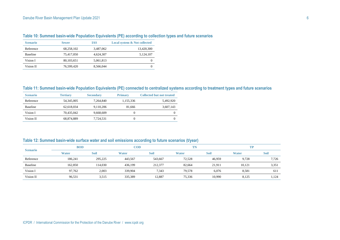| <b>Scenario</b> | <b>Sewer</b> | <b>IAS</b> | <b>Local system &amp; Not collected</b> |
|-----------------|--------------|------------|-----------------------------------------|
| Reference       | 68,258,102   | 3,487,062  | 13,420,300                              |
| <b>Baseline</b> | 75,417,050   | 4.624.307  | 5,124,107                               |
| Vision I        | 80, 103, 651 | 5,061,813  |                                         |
| Vision II       | 76,599,420   | 8.566.044  |                                         |

## **Table 10: Summed basin-wide Population Equivalents (PE) according to collection types and future scenarios**

#### **Table 11: Summed basin-wide Population Equivalents (PE) connected to centralized systems according to treatment types and future scenarios**

| <b>Scenario</b> | <b>Tertiary</b> | <b>Secondary</b> | <b>Primary</b> | <b>Collected but not treated</b> |
|-----------------|-----------------|------------------|----------------|----------------------------------|
| Reference       | 54, 345, 005    | 7.264.840        | 1.155.336      | 5.492.920                        |
| <b>Baseline</b> | 62.618.034      | 9.110.206        | 81.666         | 3,607,143                        |
| Vision I        | 70.435.042      | 9.668.609        |                | 0                                |
| Vision II       | 68,874,889      | 7,724,531        |                | $\Omega$                         |

#### **Table 12: Summed basin-wide surface water and soil emissions according to future scenarios (t/year)**

|                 | <b>BOD</b>   |         | <b>COD</b> |             | TN           |             | TP           |             |
|-----------------|--------------|---------|------------|-------------|--------------|-------------|--------------|-------------|
| <b>Scenario</b> | <b>Water</b> | Soil    | Water      | <b>Soil</b> | <b>Water</b> | <b>Soil</b> | <b>Water</b> | <b>Soil</b> |
| Reference       | 186,241      | 295,225 | 443,567    | 543,667     | 72,528       | 46.959      | 9,728        | 7,726       |
| Baseline        | 162,850      | 114,030 | 436,199    | 212,377     | 82,664       | 21.911      | 10,121       | 3,351       |
| Vision I        | 97.762       | 2,003   | 339,904    | 7,343       | 79.578       | 6,076       | 8.581        | 611         |
| Vision II       | 96,531       | 3,515   | 335,389    | 12,887      | 75,336       | 10,990      | 8,125        | 1,124       |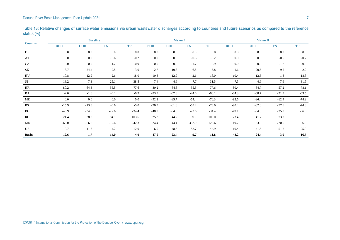| <b>Country</b>         | <b>Baseline</b> |            |           |           |            | <b>Vision I</b> |           |           | <b>Vision II</b> |            |           |           |  |
|------------------------|-----------------|------------|-----------|-----------|------------|-----------------|-----------|-----------|------------------|------------|-----------|-----------|--|
|                        | <b>BOD</b>      | <b>COD</b> | <b>TN</b> | <b>TP</b> | <b>BOD</b> | <b>COD</b>      | <b>TN</b> | <b>TP</b> | <b>BOD</b>       | <b>COD</b> | <b>TN</b> | <b>TP</b> |  |
| DE                     | 0.0             | $0.0\,$    | $0.0\,$   | 0.0       | 0.0        | 0.0             | 0.0       | $0.0\,$   | 0.0              | 0.0        | $0.0\,$   | 0.0       |  |
| AT                     | $0.0\,$         | $0.0\,$    | $-0.6$    | $-0.2$    | $0.0\,$    | $0.0\,$         | $-0.6$    | $-0.2$    | $0.0\,$          | $0.0\,$    | $-0.6$    | $-0.2$    |  |
| $\operatorname{CZ}$    | 0.0             | $0.0\,$    | $-1.7$    | $-0.9$    | $0.0\,$    | $0.0\,$         | $-1.7$    | $-0.9$    | $0.0\,$          | $0.0\,$    | $-1.7$    | $-0.9$    |  |
| SK                     | $-8.7$          | $-24.4$    | $-2.5$    | $-3.0$    | 2.7        | $-19.8$         | $-6.8$    | 5.8       | 1.6              | $-20.5$    | $-9.5$    | 2.2       |  |
| HU                     | 10.8            | 12.9       | 2.6       | $-18.0$   | 10.8       | 12.9            | 2.6       | $-18.0$   | 10.4             | 12.5       | 1.8       | $-18.3$   |  |
| SI                     | $-18.2$         | $-7.3$     | $-25.1$   | $-38.5$   | $-7.4$     | 4.6             | 7.7       | $-31.5$   | $-7.5$           | 4.6        | 7.6       | $-31.5$   |  |
| HR                     | $-80.2$         | $-64.3$    | $-55.5$   | $-77.6$   | $-80.2$    | $-64.3$         | $-55.5$   | $-77.6$   | $-80.4$          | $-64.7$    | $-57.2$   | $-78.1$   |  |
| BA                     | $-2.0$          | $-1.6$     | $-0.2$    | $-0.9$    | $-83.9$    | $-67.8$         | $-24.0$   | $-60.1$   | $-84.3$          | $-68.7$    | $-31.9$   | $-63.5$   |  |
| ME                     | $0.0\,$         | $0.0\,$    | $0.0\,$   | $0.0\,$   | $-92.2$    | $-85.7$         | $-54.4$   | $-70.3$   | $-92.6$          | $-86.4$    | $-62.4$   | $-74.3$   |  |
| RS                     | $-15.9$         | $-13.8$    | $-0.6$    | $-5.0$    | $-90.3$    | $-81.8$         | $-55.2$   | $-73.0$   | $-90.4$          | $-82.0$    | $-57.6$   | $-74.3$   |  |
| $\mathbf{B}\mathbf{G}$ | $-48.9$         | $-34.5$    | $-22.6$   | $-34.4$   | $-48.9$    | $-34.5$         | $-22.6$   | $-34.4$   | $-49.1$          | $-34.8$    | $-25.0$   | $-36.6$   |  |
| RO                     | 21.4            | 38.8       | 84.1      | 103.6     | 25.2       | 44.2            | 89.9      | 108.0     | 23.4             | 41.7       | 73.3      | 91.5      |  |
| MD                     | $-68.0$         | $-56.6$    | $-17.6$   | $-42.3$   | 24.4       | 144.4           | 352.0     | 125.6     | 19.7             | 133.6      | 270.6     | 96.6      |  |
| UA                     | 9.7             | 11.8       | 14.2      | 12.0      | $-6.0$     | 48.5            | 82.7      | 44.9      | $-10.4$          | 41.5       | 51.2      | 25.9      |  |
| <b>Basin</b>           | $-12.6$         | $-1.7$     | 14.0      | 4.0       | $-47.5$    | $-23.4$         | 9.7       | $-11.8$   | $-48.2$          | $-24.4$    | 3.9       | $-16.5$   |  |

**Table 13: Relative changes of surface water emissions via urban wastewater discharges according to countries and future scenarios as compared to the reference status (%)**